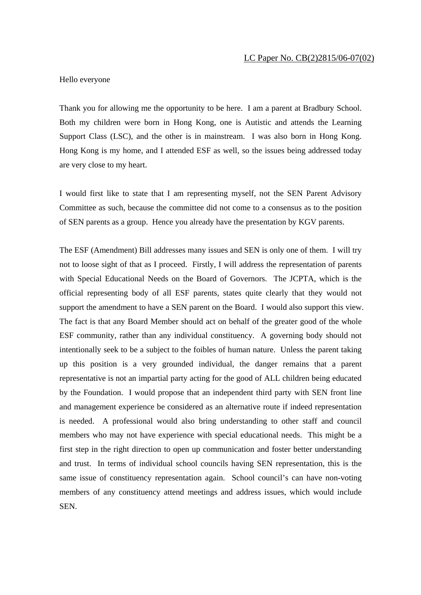Hello everyone

Thank you for allowing me the opportunity to be here. I am a parent at Bradbury School. Both my children were born in Hong Kong, one is Autistic and attends the Learning Support Class (LSC), and the other is in mainstream. I was also born in Hong Kong. Hong Kong is my home, and I attended ESF as well, so the issues being addressed today are very close to my heart.

I would first like to state that I am representing myself, not the SEN Parent Advisory Committee as such, because the committee did not come to a consensus as to the position of SEN parents as a group. Hence you already have the presentation by KGV parents.

The ESF (Amendment) Bill addresses many issues and SEN is only one of them. I will try not to loose sight of that as I proceed. Firstly, I will address the representation of parents with Special Educational Needs on the Board of Governors. The JCPTA, which is the official representing body of all ESF parents, states quite clearly that they would not support the amendment to have a SEN parent on the Board. I would also support this view. The fact is that any Board Member should act on behalf of the greater good of the whole ESF community, rather than any individual constituency. A governing body should not intentionally seek to be a subject to the foibles of human nature. Unless the parent taking up this position is a very grounded individual, the danger remains that a parent representative is not an impartial party acting for the good of ALL children being educated by the Foundation. I would propose that an independent third party with SEN front line and management experience be considered as an alternative route if indeed representation is needed. A professional would also bring understanding to other staff and council members who may not have experience with special educational needs. This might be a first step in the right direction to open up communication and foster better understanding and trust. In terms of individual school councils having SEN representation, this is the same issue of constituency representation again. School council's can have non-voting members of any constituency attend meetings and address issues, which would include SEN.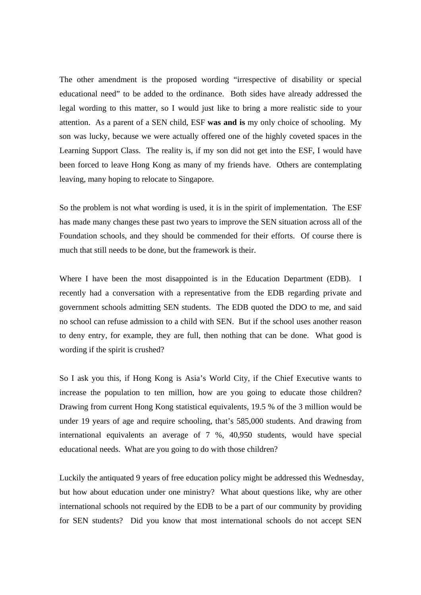The other amendment is the proposed wording "irrespective of disability or special educational need" to be added to the ordinance. Both sides have already addressed the legal wording to this matter, so I would just like to bring a more realistic side to your attention. As a parent of a SEN child, ESF **was and is** my only choice of schooling. My son was lucky, because we were actually offered one of the highly coveted spaces in the Learning Support Class. The reality is, if my son did not get into the ESF, I would have been forced to leave Hong Kong as many of my friends have. Others are contemplating leaving, many hoping to relocate to Singapore.

So the problem is not what wording is used, it is in the spirit of implementation. The ESF has made many changes these past two years to improve the SEN situation across all of the Foundation schools, and they should be commended for their efforts. Of course there is much that still needs to be done, but the framework is their.

Where I have been the most disappointed is in the Education Department (EDB). I recently had a conversation with a representative from the EDB regarding private and government schools admitting SEN students. The EDB quoted the DDO to me, and said no school can refuse admission to a child with SEN. But if the school uses another reason to deny entry, for example, they are full, then nothing that can be done. What good is wording if the spirit is crushed?

So I ask you this, if Hong Kong is Asia's World City, if the Chief Executive wants to increase the population to ten million, how are you going to educate those children? Drawing from current Hong Kong statistical equivalents, 19.5 % of the 3 million would be under 19 years of age and require schooling, that's 585,000 students. And drawing from international equivalents an average of 7 %, 40,950 students, would have special educational needs. What are you going to do with those children?

Luckily the antiquated 9 years of free education policy might be addressed this Wednesday, but how about education under one ministry? What about questions like, why are other international schools not required by the EDB to be a part of our community by providing for SEN students? Did you know that most international schools do not accept SEN